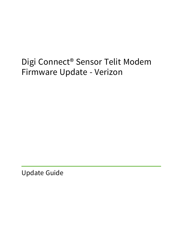# Digi Connect® Sensor Telit Modem Firmware Update - Verizon

Update Guide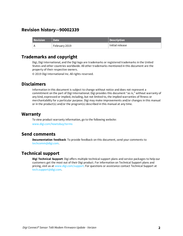# **Revision history—90002339**

| <b>Revision</b> | <b>Date</b>   | Description     |
|-----------------|---------------|-----------------|
|                 | February 2019 | Initial release |

# **Trademarks and copyright**

Digi, Digi International, and the Digi logo are trademarks or registered trademarks in the United States and other countries worldwide. All other trademarks mentioned in this document are the property of their respective owners.

© 2019 Digi International Inc. All rights reserved.

# **Disclaimers**

Information in this document is subject to change without notice and does not represent a commitment on the part of Digi International. Digi provides this document "as is," without warranty of any kind, expressed or implied, including, but not limited to, the implied warranties of fitness or merchantability for a particular purpose. Digi may make improvements and/or changes in this manual or in the product(s) and/or the program(s) described in this manual at any time.

## **Warranty**

To view product warranty information, go to the following website: [www.digi.com/howtobuy/terms](http://www.digi.com/howtobuy/terms)

## **Send comments**

**Documentation feedback**: To provide feedback on this document, send your comments to [techcomm@digi.com](mailto:techcomm@digi.com).

# **Technical support**

**Digi Technical Support**: Digi offers multiple technical support plans and service packages to help our customers get the most out of their Digi product. For information on Technical Support plans and pricing, visit us at [www.digi.com/support](http://www.digi.com/support). For questions or assistance contact Technical Support at [tech.support@digi.com.](mailto:tech.support@digi.com)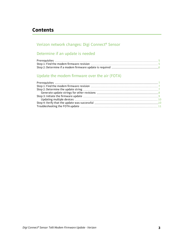# **Contents**

# Verizon network changes: Digi [Connect®](#page-3-0) Sensor

# [Determine](#page-4-0) if an update is needed

# Update the modem [firmware](#page-6-0) over the air (FOTA)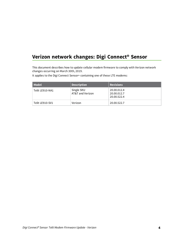# <span id="page-3-0"></span>**Verizon network changes: Digi Connect® Sensor**

This document describes how to update cellular modem firmware to comply with Verizon network changes occurring on March 30th, 2019.

It applies to the Digi Connect Sensor+ containing one of these LTE modems:

| Model           | <b>Description</b>             | <b>Revisions</b>                          |
|-----------------|--------------------------------|-------------------------------------------|
| Telit LE910-NA1 | Single SKU<br>AT&T and Verizon | 20.00.012.4<br>20.00.012.7<br>20.00.522.4 |
| Telit LE910-SV1 | Verizon                        | 20.00.522.7                               |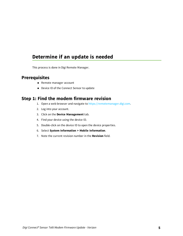# <span id="page-4-0"></span>**Determine if an update is needed**

This process is done in Digi Remote Manager.

## <span id="page-4-1"></span>**Prerequisites**

- Remote manager account
- Device ID of the Connect Sensor to update

## <span id="page-4-2"></span>**Step 1: Find the modem firmware revision**

- 1. Open a web browser and navigate to [https://remotemanager.digi.com.](https://remotemanager.digi.com/)
- 2. Log into your account.
- 3. Click on the **Device Management** tab.
- 4. Find your device using the device ID.
- 5. Double-click on the device ID to open the device properties.
- 6. Select **System Information > Mobile Information**.
- 7. Note the current revision number in the **Revision** field.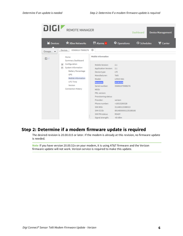| DIGI!                      | <b>REMOTE MANAGER</b>                                                                                                                                                                                                 | Dashboard                                                                                                                                                                                                                                                                        | <b>Device Management</b>                                                                                                                                                   |                           |                  |
|----------------------------|-----------------------------------------------------------------------------------------------------------------------------------------------------------------------------------------------------------------------|----------------------------------------------------------------------------------------------------------------------------------------------------------------------------------------------------------------------------------------------------------------------------------|----------------------------------------------------------------------------------------------------------------------------------------------------------------------------|---------------------------|------------------|
| <b>M</b> Devices           | * XBee Networks                                                                                                                                                                                                       | <b>M</b> Alarms 5                                                                                                                                                                                                                                                                | $\Phi$ Operations                                                                                                                                                          | <b><i>O</i></b> Schedules | <b>W</b> Carrier |
| Groups -<br>$\mathbb{D}$ / | 03569610-79989276<br><b>Devices</b><br>Home                                                                                                                                                                           | O<br>Mobile Information                                                                                                                                                                                                                                                          |                                                                                                                                                                            |                           |                  |
|                            | Summary Dashboard<br>Configuration<br>$\left  \cdot \right $<br>System Information<br>$=$<br><b>Battery Percentage</b><br><b>GPS</b><br>Mobile Information<br><b>UTC Time</b><br>Version<br><b>Connection History</b> | Mobile Version:<br><b>Application Version:</b><br>Device type:<br>Manufacturer:<br>Model:<br><b>Revision:</b><br>Serial number:<br>MEID:<br>PRL version:<br>Provisioning status:<br>Provider:<br>Phone number:<br>SIM IMSI:<br>SIM ICCID:<br>SIM PIN status:<br>Signal strength: | 2.1<br>2.1<br>LTE<br>Telit<br>LE910-NA1<br>20.00.014<br>356961079989276<br>verizon<br>+16515290328<br>311480115389313<br>89148000001135188166<br><b>READY</b><br>$-65$ dBm |                           |                  |

## <span id="page-5-0"></span>**Step 2: Determine if a modem firmware update is required**

The desired revision is 20.00.015 or later. If the modem is already at this revision, no firmware update is needed.

**Note** If you have version 20.00.52x on your modem, it is using AT&T firmware and the Verizon firmware update will not work. Verizon service is required to make this update.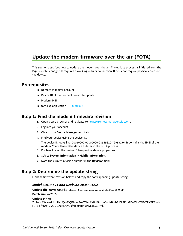# <span id="page-6-0"></span>**Update the modem firmware over the air (FOTA)**

This section describes how to update the modem over the air. The update process is initiated from the Digi Remote Manager. It requires a working cellular connection. It does not require physical access to the device.

## <span id="page-6-1"></span>**Prerequisites**

- Remote manager account
- Device ID of the Connect Sensor to update
- **n** Modem IMEI
- fota.exe application (PN [80010027\)](ftp://ftp1.digi.com/support/telit/80010027.zip)

#### <span id="page-6-2"></span>**Step 1: Find the modem firmware revision**

- 1. Open a web browser and navigate to [https://remotemanager.digi.com.](https://remotemanager.digi.com/)
- 2. Log into your account.
- 3. Click on the **Device Management** tab.
- 4. Find your device using the device ID.

The device ID looks like: 00010000-00000000-03569610-79989276. It contains the IMEI of the modem. You will need the device ID later in the FOTA process.

- 5. Double-click on the device ID to open the device properties.
- 6. Select **System Information > Mobile Information**.
- 7. Note the current revision number in the **Revision** field.

#### <span id="page-6-3"></span>**Step 2: Determine the update string**

Find the firmware revision below, and copy the corresponding update string.

#### *Model LE910-SV1 and Revision 20.00.012.2*

**Update file name**: UpdPkg\_LE910\_SV1\_1G\_20.00.012.2\_20.00.015.0.bin

**Patch size**: 4228650

#### **Update string**:

ZnRwMS5kaWdpLmNvbQAyMQBhbm9ueW1vdXMAdGVzdABzdXBwb3J0L3RlbGl0AFVwZFBrZ19MRTkxM F9TVjFfMUdfMjAuMDAuMDEyLjJfMjAuMDAuMDE1LjAuYmlu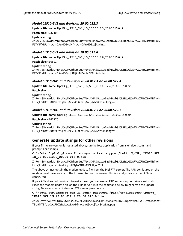#### *Model LE910-SV1 and Revision 20.00.012.3*

**Update file name**: UpdPkg\_LE910\_SV1\_1G\_20.00.012.3\_20.00.015.0.bin

**Patch size**: 4232406

#### **Update string**:

ZnRwMS5kaWdpLmNvbQAyMQBhbm9ueW1vdXMAdGVzdABzdXBwb3J0L3RlbGl0AFVwZFBrZ19MRTkxM F9TVjFfMUdfMjAuMDAuMDEyLjNfMjAuMDAuMDE1LjAuYmlu

#### *Model LE910-SV1 and Revision 20.00.012.8*

**Update file name**: UpdPkg\_LE910\_SV1\_1G\_20.00.012.8\_20.00.015.0.bin

**Patch size**: 4165114

#### **Update string**:

ZnRwMS5kaWdpLmNvbQAyMQBhbm9ueW1vdXMAdGVzdABzdXBwb3J0L3RlbGl0AFVwZFBrZ19MRTkxM F9TVjFfMUdfMjAuMDAuMDEyLjhfMjAuMDAuMDE1LjAuYmlu

#### *Model LE910-NA1 and Revision 20.00.012.4 or 20.00.522.4*

**Update file name**: UpdPkg\_LE910\_SV1\_1G\_SKU\_20.00.012.4\_20.00.015.0.bin

**Patch size**:

#### **Update string**:

ZnRwMS5kaWdpLmNvbQAyMQBhbm9ueW1vdXMAdGVzdABzdXBwb3J0L3RlbGl0AFVwZFBrZ19MRTkxM F9TVjFfMUdfU0tVXzIwLjAwLjAxMi40XzIwLjAwLjAxNS4wLmJpbg==

#### *Model LE910-NA1 and Revision 20.00.012.7 or 20.00.522.7*

**Update file name**: UpdPkg\_LE910\_SV1\_1G\_SKU\_20.00.012.7\_20.00.015.0.bin

**Patch size**: 4167370

#### **Update string**:

ZnRwMS5kaWdpLmNvbQAyMQBhbm9ueW1vdXMAdGVzdABzdXBwb3J0L3RlbGl0AFVwZFBrZ19MRTkxM F9TVjFfMUdfU0tVXzIwLjAwLjAxMi43XzIwLjAwLjAxNS4wLmJpbg==

#### <span id="page-7-0"></span>**Generate update strings for other revisions**

If your firmware version is not listed above, run the fota application from a Windows command prompt. For example:

#### **C:\>fota ftp1.digi.com 21 anonymous test support/telit UpdPkg\_LE910\_SV1\_ 1G\_20.00.012.2\_20.00.015.0.bin**

ZnRwMS5kaWdpLmNvbQAyMQBhbm9ueW1vdXMAdGVzdABzdXBwb3J0L3RlbGl0AFVwZFBrZ19MRTkxM F9TVjFfMUdfMjAuMDAuMDEyLjJfMjAuMDAuMDE1LjAuYmlu

The above strings obtain the modem update file from the Digi FTP server. The APN configured on the modem must have access to the Internet to use this server. This is usually the case if no APN is configured.

If your APN does not provide Internet access, you can use an FTP server on your private network. Place the modem update file on the FTP server. Run the command below to generate the update string. Be sure to substitute your FTP server parameters.

**C:\>fota ftp.example.com 21 login password /path/to/directory UpdPkg\_ LE910\_SV1\_1G\_20.00.012.2\_20.00.015.0.bin**

ZnRwLmV4YW1wbGUuY29tADIxAGxvZ2luAHBhc3N3b3JkAC9wYXRoL3RvL2RpcmVjdG9yeQBVcGRQa2df TEU5MTBfU1YxXzFHXzIwLjAwLjAxMi4yXzIwLjAwLjAxNS4wLmJpbg==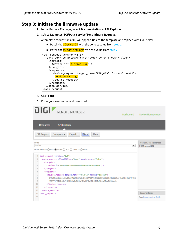## <span id="page-8-0"></span>**Step 3: Initiate the firmware update**

- 1. In the Remote Manager, select **Documentation > API Explorer**.
- 2. Select **Examples/SCI/Data Service/Send Binary Request**.
- 3. A template request (in XML) will appear. Delete the template and replace with XML below.
	- $\blacksquare$  Patch the  $\#$ Device ID# with the correct value from [step](#page-6-2) 1.
	- Patch the  $\#Update$  with the value from [step](#page-6-3) 2.

```
<sci_request version="1.0">
  <data_service allowOffline="true" synchronous="false">
    <targets>
     <device id="#Device ID#"/>
    </targets>
    <requests>
     <device_request target_name="FTP_OTA" format="base64">
        #Update string#
     </device_request>
   </requests>
  </data_service>
</sci_request>
```
- 4. Click **Send**
- 5. Enter your user name and password.

|                | oigi<br><b>REMOTE MANAGER</b><br>Dashboard                                                                    |   | <b>Device Management</b>      |  |  |  |
|----------------|---------------------------------------------------------------------------------------------------------------|---|-------------------------------|--|--|--|
|                | <b>API Explorer</b><br><b>Resources</b>                                                                       |   |                               |  |  |  |
|                | Examples -<br><b>SCI Targets</b><br>Send<br>$Export -$<br>Clear                                               |   |                               |  |  |  |
| Path:          |                                                                                                               |   | <b>Web Services Responses</b> |  |  |  |
| /ws/sci        |                                                                                                               | ▼ | POST /ws/sci 202              |  |  |  |
|                | HTTP Method: ○ GET ● POST ○ PUT ○ DELETE ○ HEAD                                                               |   |                               |  |  |  |
|                | 1 <sci_request version="1.0"></sci_request>                                                                   |   |                               |  |  |  |
| 2              | <data_service_allowoffline="true"_synchronous="false"></data_service_allowoffline="true"_synchronous="false"> |   |                               |  |  |  |
| 3              | <targets></targets>                                                                                           |   |                               |  |  |  |
| 4              | <device_id="00010000-00000000-03569610-79989276"></device_id="00010000-00000000-03569610-79989276">           |   |                               |  |  |  |
| $\overline{5}$ |                                                                                                               |   |                               |  |  |  |
| 6              | <requests></requests>                                                                                         |   |                               |  |  |  |
| $\overline{7}$ | <device_request format="base64" target_name="FTP_OTA"></device_request>                                       |   |                               |  |  |  |
| 8              | ZnRwMS5kaWdpLmNvbQAyMQBhbm9ueW1vdXMAdGVzdABzdXBwb3J0L3R1bG10AFVwZFBrZ19MRTkx                                  |   |                               |  |  |  |
| 9              | MF9TVjFfTkExXzFHX1NLVV8yMC4wMC4wMTQuNF8yMC4wMC4wMTUuMC5iaW4=                                                  |   |                               |  |  |  |
| 10             |                                                                                                               |   |                               |  |  |  |
| 11             |                                                                                                               |   |                               |  |  |  |
| 12             |                                                                                                               |   |                               |  |  |  |
| 13             |                                                                                                               |   | Documentation                 |  |  |  |
| 14             |                                                                                                               |   | See: Programming Guide        |  |  |  |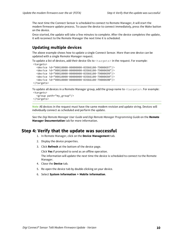The next time the Connect Sensor is scheduled to connect to Remote Manager, it will start the modem firmware update process. To cause the device to connect immediately, press the Wake button on the device.

<span id="page-9-0"></span>Once started, the update will take a few minutes to complete. After the device completes the update, it will reconnect to the Remote Manager the next time it is scheduled.

#### **Updating multiple devices**

The above example shows how to update a single Connect Sensor. More than one device can be updated with a single Remote Manager request.

To update a list of devices, add their device IDs to  $\langle \text{targets}\rangle$  in the request. For example: <targets>

```
<device id="00010000-00000000-03566100-79000697"/>
  <device id="00010000-00000000-03566100-79000698"/>
  <device id="00010000-00000000-03566100-79000699"/>
  <device id="00010000-00000000-03566100-7900069A"/>
  <device id="00010000-00000000-03566100-7900069B"/>
</targets>
```
To update all devices in a Remote Manager group, add the group name to <targets>. For example: <targets>

```
<group path="my_group"/>
</targets>
```
**Note** All devices in the request must have the same modem revision and update string. Devices will individually connect as scheduled and perform the update.

See the *Digi Remote Manager User Guide* and *Digi Remote Manager Programming Guide* on the **Remote Manager Documentation** tab for more information.

#### <span id="page-9-1"></span>**Step 4: Verify that the update was successful**

- 1. In Remote Manager, click on the **Device Management** tab.
- 2. Display the device properties.
- 3. Click **Refresh** at the bottom of the device page.

Click **Yes** if prompted to send as an offline operation.

The information will update the next time the device is scheduled to connect to the Remote Manager.

- 4. Close the **Device** tab.
- 5. Re-open the device tab by double-clicking on your device.
- 6. Select **System Information > Mobile information**.